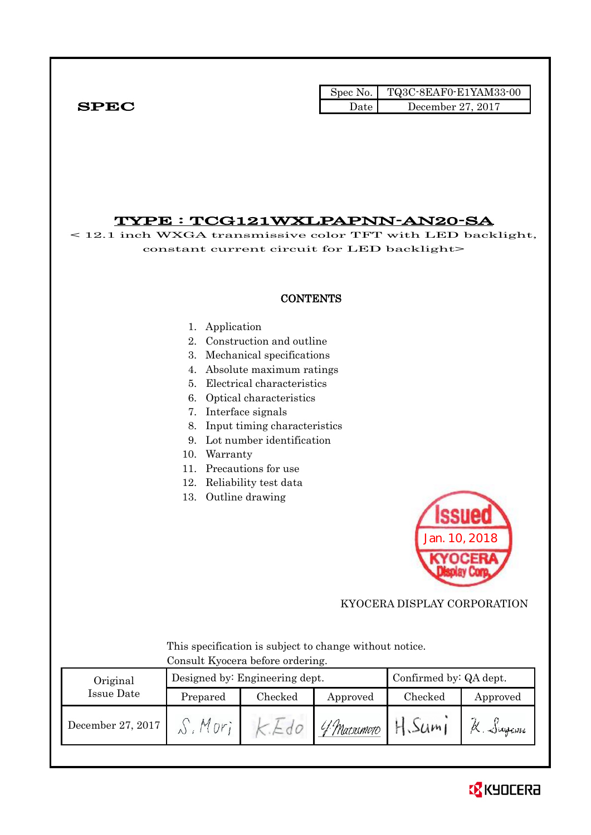Spec No. TQ3C-8EAF0-E1YAM33-00  $SPEC$  Date December 27, 2017

# TYPE : TCG121WXLPAPNN-AN20-SA

< 12.1 inch WXGA transmissive color TFT with LED backlight, constant current circuit for LED backlight>

## **CONTENTS**

### 1. Application

- 2. Construction and outline
- 3. Mechanical specifications
- 4. Absolute maximum ratings
- 5. Electrical characteristics
- 6. Optical characteristics
- 7. Interface signals
- 8. Input timing characteristics
- 9. Lot number identification
- 10. Warranty
- 11. Precautions for use
- 12. Reliability test data
- 13. Outline drawing



## KYOCERA DISPLAY CORPORATION

 This specification is subject to change without notice. Consult Kyocera before ordering.

| Original          |          | Designed by: Engineering dept. |             | Confirmed by: QA dept. |                     |  |
|-------------------|----------|--------------------------------|-------------|------------------------|---------------------|--|
| Issue Date        | Prepared | Checked                        | Approved    | Checked                | Approved            |  |
| December 27, 2017 |          |                                | 4 Matsumoto | 50m                    | $\triangle$ ingcine |  |

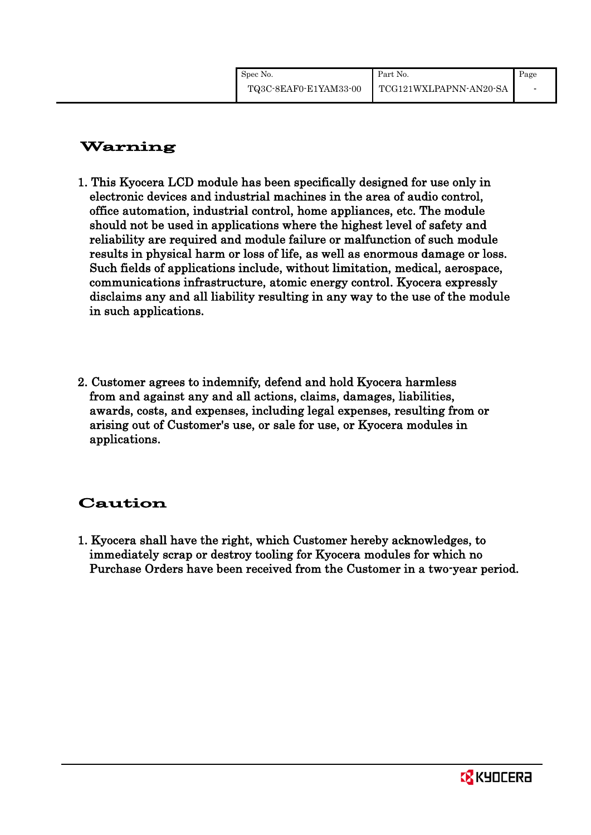# Warning

- 1. This Kyocera LCD module has been specifically designed for use only in electronic devices and industrial machines in the area of audio control, office automation, industrial control, home appliances, etc. The module should not be used in applications where the highest level of safety and reliability are required and module failure or malfunction of such module results in physical harm or loss of life, as well as enormous damage or loss. Such fields of applications include, without limitation, medical, aerospace, communications infrastructure, atomic energy control. Kyocera expressly disclaims any and all liability resulting in any way to the use of the module in such applications.
- 2. Customer agrees to indemnify, defend and hold Kyocera harmless from and against any and all actions, claims, damages, liabilities, awards, costs, and expenses, including legal expenses, resulting from or arising out of Customer's use, or sale for use, or Kyocera modules in applications.

# Caution

1. Kyocera shall have the right, which Customer hereby acknowledges, to immediately scrap or destroy tooling for Kyocera modules for which no Purchase Orders have been received from the Customer in a two-year period.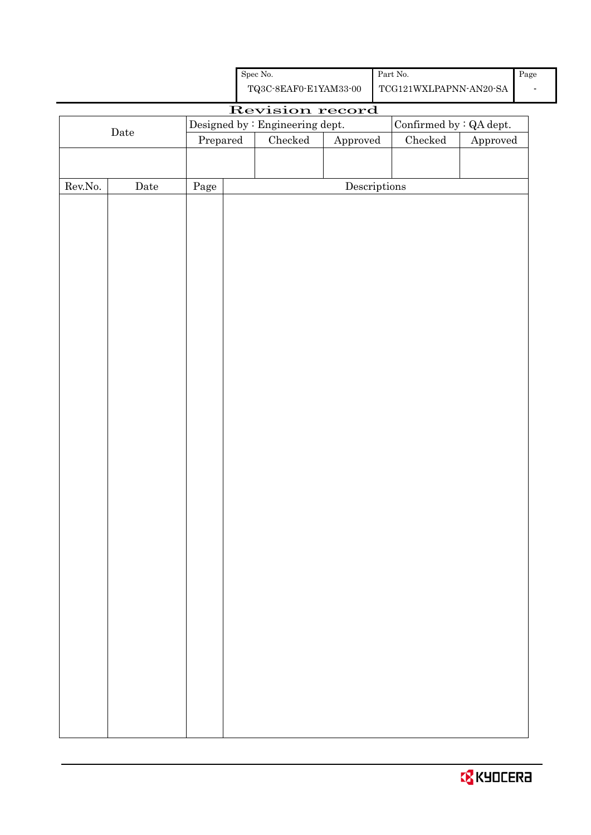| <b>O</b> KYOCERA |
|------------------|
|------------------|

|                  |             |          |  | TAGO OPITE O PETITINGO OO       |                                      | TOOTHER WALLET IN THE OUT      |          |  |
|------------------|-------------|----------|--|---------------------------------|--------------------------------------|--------------------------------|----------|--|
|                  |             |          |  | Revision record                 |                                      |                                |          |  |
|                  | $\rm{Date}$ |          |  | Designed by : Engineering dept. |                                      | Confirmed by $\colon$ QA dept. |          |  |
|                  |             | Prepared |  | Checked                         | Approved                             | $\rm Checked$                  | Approved |  |
|                  |             |          |  |                                 |                                      |                                |          |  |
|                  |             |          |  |                                 |                                      |                                |          |  |
| ${\rm Rev. No.}$ | $\rm{Date}$ | Page     |  |                                 | $\label{eq:2} \textbf{Descriptions}$ |                                |          |  |
|                  |             |          |  |                                 |                                      |                                |          |  |
|                  |             |          |  |                                 |                                      |                                |          |  |
|                  |             |          |  |                                 |                                      |                                |          |  |
|                  |             |          |  |                                 |                                      |                                |          |  |
|                  |             |          |  |                                 |                                      |                                |          |  |
|                  |             |          |  |                                 |                                      |                                |          |  |
|                  |             |          |  |                                 |                                      |                                |          |  |
|                  |             |          |  |                                 |                                      |                                |          |  |
|                  |             |          |  |                                 |                                      |                                |          |  |
|                  |             |          |  |                                 |                                      |                                |          |  |
|                  |             |          |  |                                 |                                      |                                |          |  |
|                  |             |          |  |                                 |                                      |                                |          |  |
|                  |             |          |  |                                 |                                      |                                |          |  |
|                  |             |          |  |                                 |                                      |                                |          |  |
|                  |             |          |  |                                 |                                      |                                |          |  |
|                  |             |          |  |                                 |                                      |                                |          |  |
|                  |             |          |  |                                 |                                      |                                |          |  |
|                  |             |          |  |                                 |                                      |                                |          |  |
|                  |             |          |  |                                 |                                      |                                |          |  |
|                  |             |          |  |                                 |                                      |                                |          |  |
|                  |             |          |  |                                 |                                      |                                |          |  |
|                  |             |          |  |                                 |                                      |                                |          |  |
|                  |             |          |  |                                 |                                      |                                |          |  |
|                  |             |          |  |                                 |                                      |                                |          |  |
|                  |             |          |  |                                 |                                      |                                |          |  |
|                  |             |          |  |                                 |                                      |                                |          |  |
|                  |             |          |  |                                 |                                      |                                |          |  |
|                  |             |          |  |                                 |                                      |                                |          |  |
|                  |             |          |  |                                 |                                      |                                |          |  |
|                  |             |          |  |                                 |                                      |                                |          |  |
|                  |             |          |  |                                 |                                      |                                |          |  |
|                  |             |          |  |                                 |                                      |                                |          |  |
|                  |             |          |  |                                 |                                      |                                |          |  |
|                  |             |          |  |                                 |                                      |                                |          |  |
|                  |             |          |  |                                 |                                      |                                |          |  |
|                  |             |          |  |                                 |                                      |                                |          |  |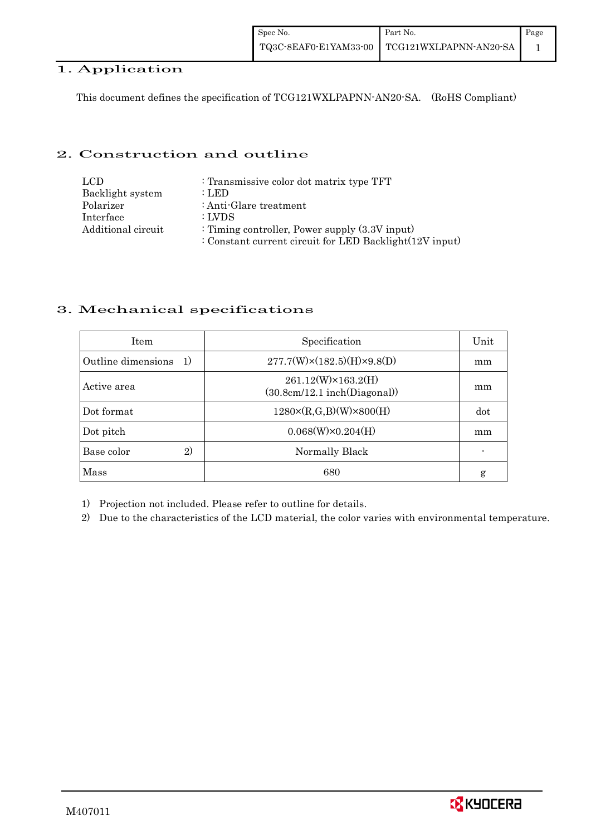## 1. Application

This document defines the specification of TCG121WXLPAPNN-AN20-SA. (RoHS Compliant)

## 2. Construction and outline

| LCD.               | : Transmissive color dot matrix type TFT                |
|--------------------|---------------------------------------------------------|
| Backlight system   | : LED                                                   |
| Polarizer          | : Anti-Glare treatment                                  |
| Interface          | : LVDS                                                  |
| Additional circuit | : Timing controller, Power supply $(3.3V)$ input)       |
|                    | : Constant current circuit for LED Backlight(12V input) |

## 3. Mechanical specifications

| <b>Item</b>                | Specification                                           | Unit |
|----------------------------|---------------------------------------------------------|------|
| Outline dimensions<br>1)   | $277.7(W)\times(182.5)(H)\times9.8(D)$                  | mm   |
| Active area                | 261.12(W)×163.2(H)<br>$(30.8cm/12.1$ inch $(Diagonal))$ | mm   |
| Dot format                 | $1280 \times (R,G,B)(W) \times 800(H)$                  | dot  |
| Dot pitch                  | $0.068(W)\times0.204(H)$                                | mm   |
| $\mathbf{2}$<br>Base color | Normally Black                                          |      |
| Mass                       | 680                                                     | g    |

1) Projection not included. Please refer to outline for details.

2) Due to the characteristics of the LCD material, the color varies with environmental temperature.

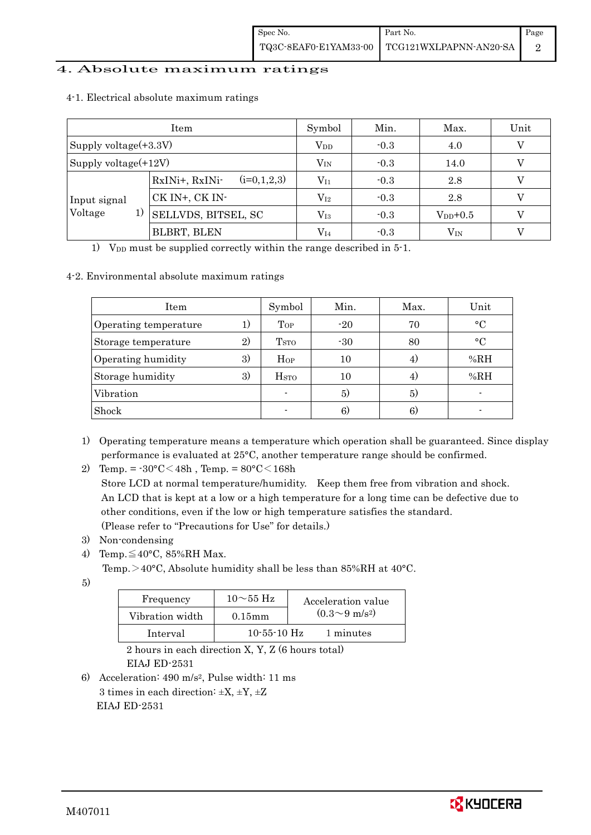## 4. Absolute maximum ratings

|                       | Item                            | Symbol          | Min.   | Max.         | Unit |
|-----------------------|---------------------------------|-----------------|--------|--------------|------|
| Supply voltage(+3.3V) |                                 | V <sub>DD</sub> | $-0.3$ | 4.0          |      |
| Supply voltage(+12V)  |                                 | $V_{IN}$        | $-0.3$ | 14.0         |      |
|                       | $(i=0,1,2,3)$<br>RxINi+, RxINi- | $V_{I1}$        | $-0.3$ | 2.8          |      |
| Input signal          | CK IN+, CK IN-                  | $\rm V_{I2}$    | $-0.3$ | 2.8          |      |
| Voltage<br>1)         | <b>SELLVDS, BITSEL, SC</b>      | $\rm V_{I3}$    | $-0.3$ | $V_{DD}+0.5$ |      |
|                       | BLBRT, BLEN                     | $\rm V_{I4}$    | $-0.3$ | $\rm V_{IN}$ |      |

#### 4-1. Electrical absolute maximum ratings

1) V<sub>DD</sub> must be supplied correctly within the range described in  $5$ -1.

#### 4-2. Environmental absolute maximum ratings

| Item                  |    | Symbol                  | Min.  | Max. | Unit         |
|-----------------------|----|-------------------------|-------|------|--------------|
| Operating temperature |    | Top                     | $-20$ | 70   | $\circ$ C    |
| Storage temperature   | 2) | T <sub>STO</sub>        | $-30$ | 80   | $^{\circ}$ C |
| Operating humidity    | 3) | Hop                     | 10    | 4)   | %RH          |
| Storage humidity      | 3) | <b>H</b> <sub>sto</sub> | 10    | 4)   | %RH          |
| Vibration             |    |                         | 5)    | 5)   |              |
| Shock                 |    |                         | 6)    | 6)   |              |

1) Operating temperature means a temperature which operation shall be guaranteed. Since display performance is evaluated at 25°C, another temperature range should be confirmed.

2) Temp. =  $-30^{\circ}$ C $<$ 48h, Temp. =  $80^{\circ}$ C $<$ 168h

 Store LCD at normal temperature/humidity. Keep them free from vibration and shock. An LCD that is kept at a low or a high temperature for a long time can be defective due to other conditions, even if the low or high temperature satisfies the standard. (Please refer to "Precautions for Use" for details.)

- 3) Non-condensing
- 4) Temp. $\leq 40^{\circ}$ C, 85%RH Max.
	- Temp. >40°C, Absolute humidity shall be less than 85%RH at 40°C.
- 5)

| Frequency       | $10\sim$ 55 Hz    | Acceleration value         |
|-----------------|-------------------|----------------------------|
| Vibration width | $0.15$ mm         | $(0.3{\sim}9~{\rm m/s^2})$ |
| Interval        | $10 - 55 - 10$ Hz | 1 minutes                  |

 2 hours in each direction X, Y, Z (6 hours total) EIAJ ED-2531

6) Acceleration: 490 m/s2, Pulse width: 11 ms 3 times in each direction:  $\pm X$ ,  $\pm Y$ ,  $\pm Z$ EIAJ ED-2531

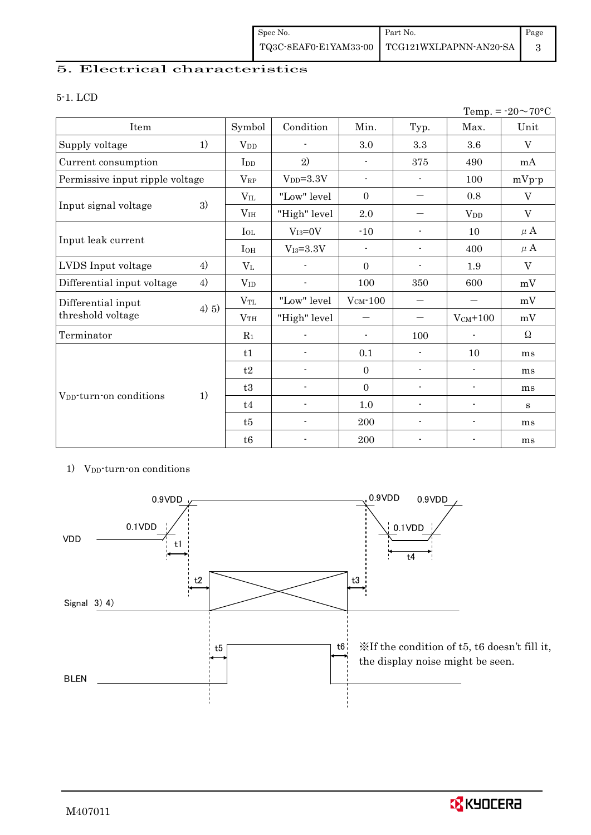## 5. Electrical characteristics

#### 5-1. LCD

| Temp. = $-20 \sim 70$ °C            |       |                        |                 |                          |                                  |                          |         |
|-------------------------------------|-------|------------------------|-----------------|--------------------------|----------------------------------|--------------------------|---------|
| Item                                |       | Symbol                 | Condition       | Min.                     | Typ.                             | Max.                     | Unit    |
| Supply voltage                      | 1)    | <b>V</b> <sub>DD</sub> |                 | 3.0                      | 3.3                              | 3.6                      | V       |
| Current consumption                 |       | I <sub>DD</sub>        | 2)              | $\blacksquare$           | 375                              | 490                      | mA      |
| Permissive input ripple voltage     |       | $V_{\rm RP}$           | $VDD=3.3V$      | $\blacksquare$           | $\blacksquare$                   | 100                      | $mVp-p$ |
|                                     |       | $V_{IL}$               | "Low" level     | $\boldsymbol{0}$         | —                                | $0.8\,$                  | V       |
| Input signal voltage                | 3)    | V <sub>IH</sub>        | "High" level    | $2.0\,$                  | —                                | $V_{DD}$                 | V       |
|                                     |       | $I_{OL}$               | $V_{I3}=0V$     | $-10$                    | $\overline{\phantom{a}}$         | 10                       | $\mu$ A |
| Input leak current                  |       | $I_{OH}$               | $V_{I3} = 3.3V$ | $\overline{\phantom{a}}$ | $\overline{\phantom{a}}$         | 400                      | $\mu$ A |
| LVDS Input voltage                  | 4)    | $V_{L}$                |                 | $\Omega$                 | $\blacksquare$                   | 1.9                      | V       |
| Differential input voltage          | 4)    | $V_{ID}$               |                 | 100                      | 350                              | 600                      | mV      |
| Differential input                  |       | $V_{TL}$               | "Low" level     | $V_{CM}$ -100            | —                                |                          | mV      |
| threshold voltage                   | 4) 5) | VTH                    | "High" level    |                          | $\overbrace{\phantom{12322111}}$ | $V_{CM}$ +100            | mV      |
| Terminator                          |       | $R_1$                  |                 | $\blacksquare$           | 100                              | $\overline{\phantom{a}}$ | Ω       |
|                                     |       | t1                     |                 | 0.1                      | $\blacksquare$                   | 10                       | ms      |
|                                     |       | t2                     | $\blacksquare$  | $\Omega$                 | $\overline{\phantom{a}}$         | $\blacksquare$           | ms      |
|                                     |       | t3                     | $\blacksquare$  | $\overline{0}$           | $\overline{\phantom{a}}$         | $\overline{\phantom{a}}$ | ms      |
| V <sub>DD</sub> -turn-on conditions | 1)    | t4                     | $\blacksquare$  | $1.0\,$                  | $\overline{\phantom{a}}$         | $\overline{\phantom{a}}$ | $\bf S$ |
|                                     |       | t5                     | $\frac{1}{2}$   | 200                      | $\blacksquare$                   | $\blacksquare$           | ms      |
|                                     |       | t6                     |                 | $200\,$                  |                                  |                          | ms      |

## 1) V<sub>DD</sub>-turn-on conditions



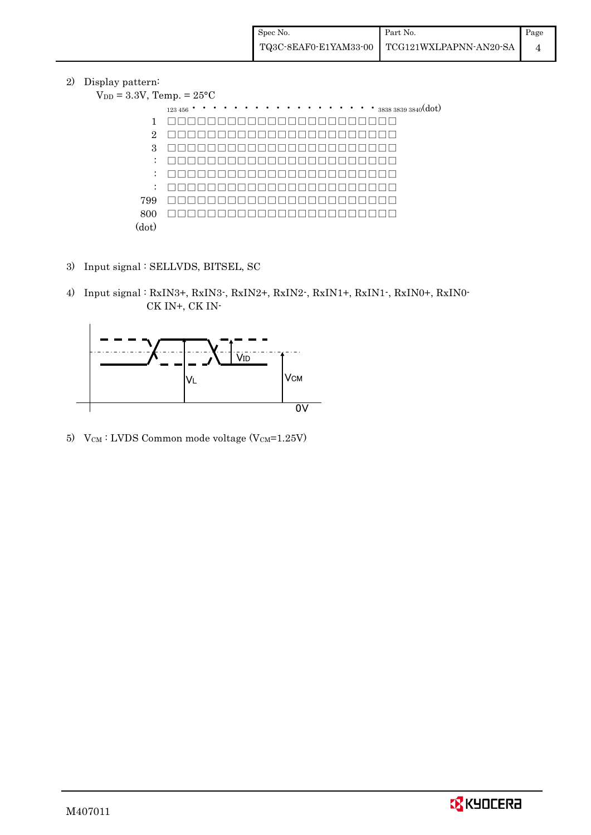2) Display pattern:  $V_{DD}$ 

|                  | $= 3.3V$ , Temp. $= 25^{\circ}C$                                                                                             |
|------------------|------------------------------------------------------------------------------------------------------------------------------|
|                  | $\cdots$ $\cdots$ $\cdots$ $\cdots$ $383838393840(dot)$<br>$\bullet$ $\bullet$<br>$\bullet$ $\bullet$<br>$123456$ $^{\circ}$ |
| 1                |                                                                                                                              |
| $\overline{2}$   |                                                                                                                              |
| 3                |                                                                                                                              |
| $\ddot{\cdot}$   |                                                                                                                              |
| $\ddot{\cdot}$   |                                                                                                                              |
| $\ddot{\cdot}$   |                                                                                                                              |
| 799              |                                                                                                                              |
| 800              |                                                                                                                              |
| $(\mathrm{dot})$ |                                                                                                                              |

- 3) Input signal : SELLVDS, BITSEL, SC
- 4) Input signal : RxIN3+, RxIN3-, RxIN2+, RxIN2-, RxIN1+, RxIN1-, RxIN0+, RxIN0- CK IN+, CK IN-



5)  $V_{CM}$ : LVDS Common mode voltage (V $_{CM}$ =1.25V)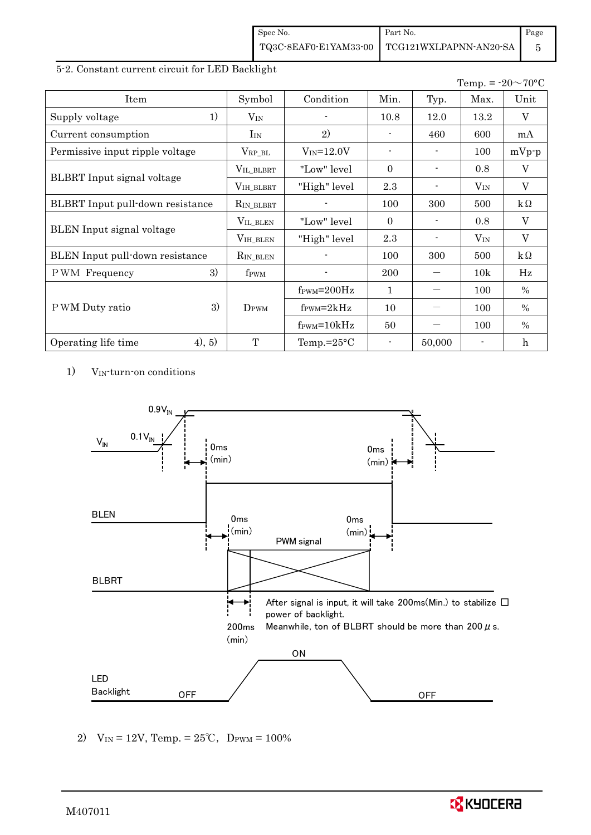| Spec No. | Part No.                                     | Page |
|----------|----------------------------------------------|------|
|          | TQ3C-8EAF0-E1YAM33-00 TCG121WXLPAPNN-AN20-SA |      |

## 5-2. Constant current circuit for LED Backlight

|                                         |                  |                               |                |                | Temp. = $-20 \sim 70$ °C |           |
|-----------------------------------------|------------------|-------------------------------|----------------|----------------|--------------------------|-----------|
| Item                                    | Symbol           | Condition                     | Min.           | Typ.           | Max.                     | Unit      |
| 1)<br>Supply voltage                    | $V_{IN}$         |                               | 10.8           | 12.0           | 13.2                     | V         |
| Current consumption                     | $I_{IN}$         | 2)                            |                | 460            | 600                      | mA        |
| Permissive input ripple voltage         | $V_{RP\_BL}$     | $V_{IN} = 12.0V$              | $\blacksquare$ | $\blacksquare$ | 100                      | $mVp-p$   |
|                                         | VIL_BLBRT        | "Low" level                   | $\Omega$       |                | 0.8                      | V         |
| BLBRT Input signal voltage              | VIH_BLBRT        | "High" level                  | 2.3            |                | $V_{IN}$                 | V         |
| <b>BLBRT</b> Input pull-down resistance | $R_{IN\_BLBRT}$  |                               | 100            | 300            | 500                      | $k\Omega$ |
|                                         | VIL_BLEN         | "Low" level"                  | $\Omega$       |                | 0.8                      | V         |
| <b>BLEN</b> Input signal voltage        | $V_{IH\_BLEN}$   | "High" level                  | 2.3            |                | $V_{IN}$                 | V         |
| BLEN Input pull-down resistance         | $R_{IN\_BLEN}$   |                               | 100            | 300            | 500                      | $k\Omega$ |
| 3)<br>PWM Frequency                     | f <sub>PWM</sub> |                               | <b>200</b>     |                | 10k                      | Hz        |
|                                         |                  | $f_{\rm PWM} = 200 \text{Hz}$ | 1              |                | 100                      | $\%$      |
| 3)<br>P WM Duty ratio                   | DPWM             | $f_{\text{PWM}}=2kHz$         | 10             |                | 100                      | $\%$      |
|                                         |                  | $f_{\text{PWM}} = 10kHz$      | 50             |                | 100                      | $\%$      |
| 4), 5)<br>Operating life time           | T                | Temp.= $25^{\circ}$ C         | $\blacksquare$ | 50,000         |                          | h         |

1) VIN-turn-on conditions



2)  $V_{IN} = 12V$ , Temp. =  $25^{\circ}C$ , DPWM =  $100\%$ 

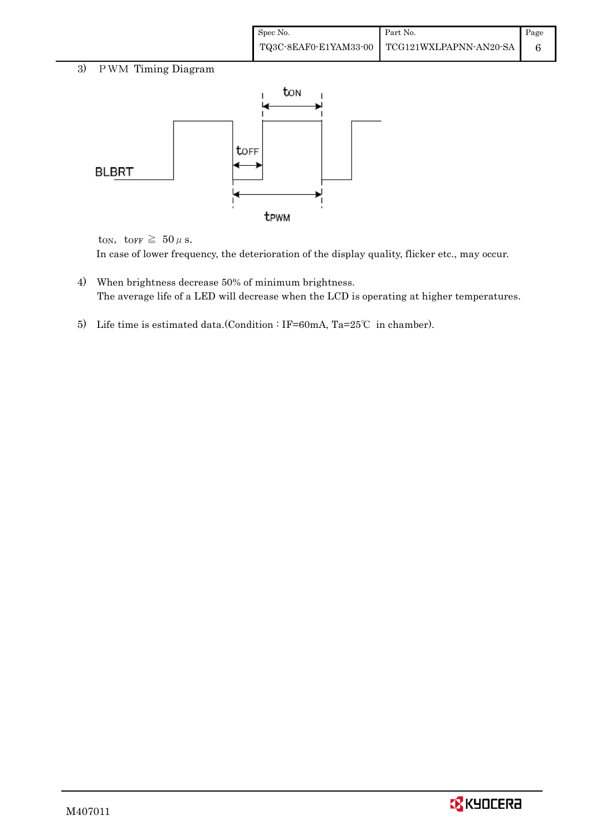| Spec No. | Part No.                                     | Page |
|----------|----------------------------------------------|------|
|          | TQ3C-8EAF0-E1YAM33-00 TCG121WXLPAPNN-AN20-SA |      |

## 3) PWM Timing Diagram



ton, torr  $\geq 50 \,\mu$  s.

In case of lower frequency, the deterioration of the display quality, flicker etc., may occur.

- 4) When brightness decrease 50% of minimum brightness. The average life of a LED will decrease when the LCD is operating at higher temperatures.
- 5) Life time is estimated data.(Condition : IF=60mA, Ta=25℃ in chamber).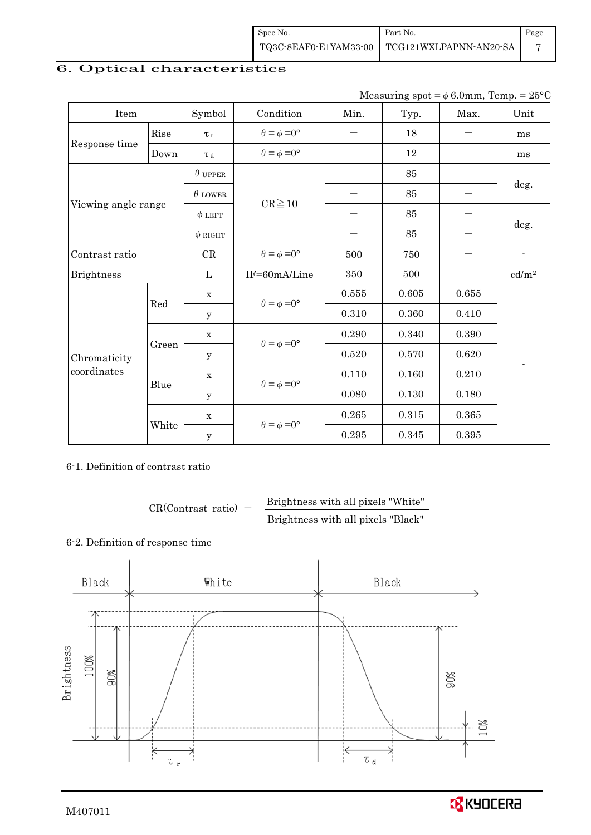| Spec No. | Part No.                                     | Page |
|----------|----------------------------------------------|------|
|          | TQ3C-8EAF0-E1YAM33-00 TCG121WXLPAPNN-AN20-SA |      |

# 6. Optical characteristics

| Measuring spot = $\phi$ 6.0mm, Temp. = 25°C |
|---------------------------------------------|
|                                             |

| Item                        |       | Symbol               | Condition                   | Min.      | Typ.  | Max.  | Unit                     |
|-----------------------------|-------|----------------------|-----------------------------|-----------|-------|-------|--------------------------|
|                             | Rise  | $\tau_r$             | $\theta = \phi = 0^{\circ}$ | —         | 18    |       | ms                       |
| Response time               | Down  | T d                  | $\theta = \phi = 0^{\circ}$ |           | 12    |       | ms                       |
|                             |       | $\theta$ upper       |                             |           | 85    |       |                          |
|                             |       | $\theta$ LOWER       | $CR \ge 10$                 |           | 85    |       | deg.                     |
| Viewing angle range         |       | $\phi$ LEFT          |                             |           | 85    |       |                          |
|                             |       | $\phi$ RIGHT         |                             |           | 85    |       | deg.                     |
| Contrast ratio              |       | CR                   | $\theta = \phi = 0^{\circ}$ | 500       | 750   |       | $\overline{\phantom{a}}$ |
| <b>Brightness</b>           |       | L                    | IF=60mA/Line                | 350       | 500   |       | cd/m <sup>2</sup>        |
|                             | Red   | $\mathbf X$          | $\theta = \phi = 0^{\circ}$ | $0.555\,$ | 0.605 | 0.655 |                          |
|                             |       | y                    |                             | 0.310     | 0.360 | 0.410 |                          |
|                             | Green | $\mathbf X$          |                             | 0.290     | 0.340 | 0.390 |                          |
| Chromaticity<br>coordinates |       | У                    | $\theta = \phi = 0^{\circ}$ | 0.520     | 0.570 | 0.620 |                          |
|                             |       | $\mathbf X$          | $\theta = \phi = 0^{\circ}$ | 0.110     | 0.160 | 0.210 |                          |
|                             | Blue  | y                    |                             | 0.080     | 0.130 | 0.180 |                          |
|                             |       | $\mathbf X$          |                             | 0.265     | 0.315 | 0.365 |                          |
|                             |       | White<br>$\mathbf y$ | $\theta = \phi = 0^{\circ}$ | 0.295     | 0.345 | 0.395 |                          |

## 6-1. Definition of contrast ratio

 $CR(Contrast ratio) =$  Brightness with all pixels "White" Brightness with all pixels "Black"

## 6-2. Definition of response time

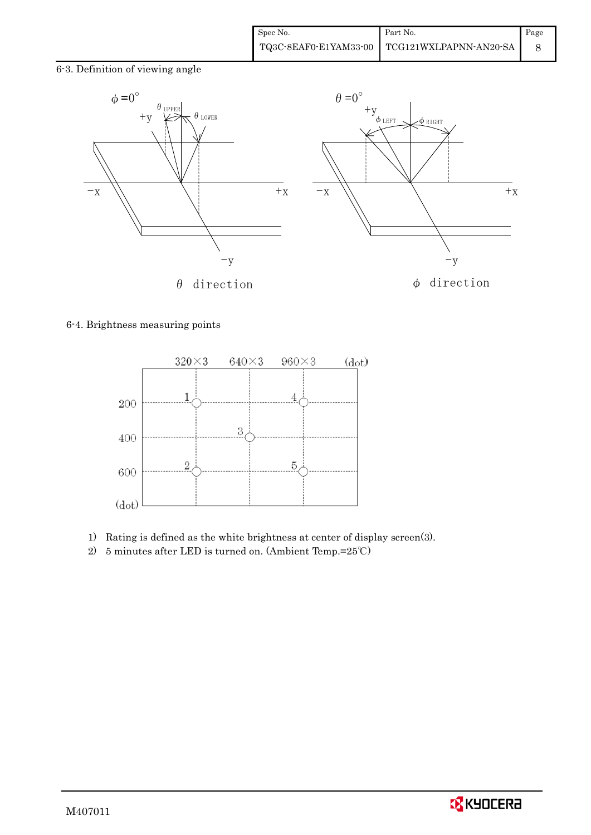6-3. Definition of viewing angle



## 6-4. Brightness measuring points



- 1) Rating is defined as the white brightness at center of display screen(3).
- 2) 5 minutes after LED is turned on. (Ambient Temp.=25℃)

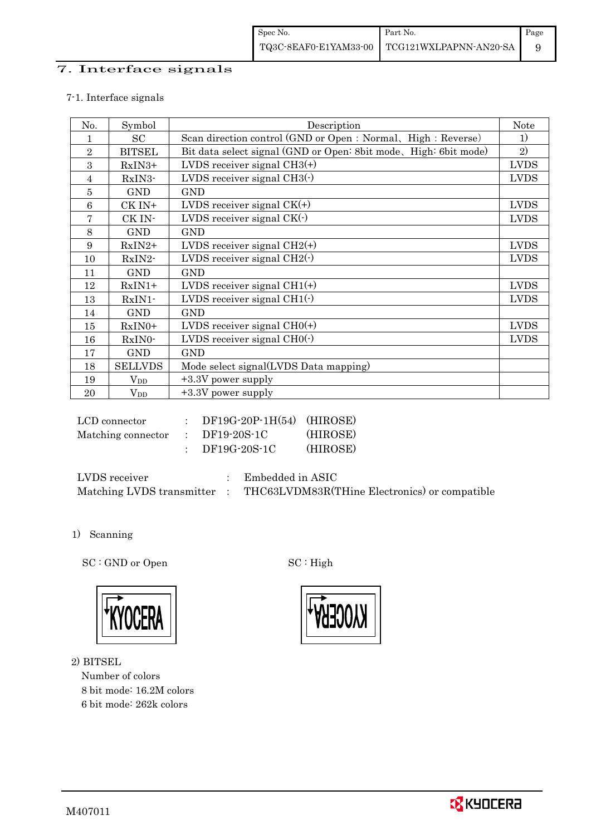## 7. Interface signals

## 7-1. Interface signals

| No.        | Symbol         | Description                                                      | <b>Note</b> |
|------------|----------------|------------------------------------------------------------------|-------------|
|            | SC             | Scan direction control (GND or Open : Normal, High : Reverse)    | 1)          |
| $\sqrt{2}$ | <b>BITSEL</b>  | Bit data select signal (GND or Open: 8bit mode, High: 6bit mode) | 2)          |
| 3          | RxIN3+         | LVDS receiver signal $CH3(+)$                                    | <b>LVDS</b> |
| 4          | $RxIN3-$       | LVDS receiver signal $CH3(\cdot)$                                | <b>LVDS</b> |
| 5          | <b>GND</b>     | <b>GND</b>                                                       |             |
| 6          | CK IN+         | LVDS receiver signal $CK(+)$                                     | <b>LVDS</b> |
| 7          | CK IN-         | LVDS receiver signal $CK(\cdot)$                                 | <b>LVDS</b> |
| 8          | <b>GND</b>     | <b>GND</b>                                                       |             |
| 9          | $RxIN2+$       | LVDS receiver signal $CH2(+)$                                    | <b>LVDS</b> |
| 10         | RxIN2-         | LVDS receiver signal $CH2(\cdot)$                                | <b>LVDS</b> |
| 11         | <b>GND</b>     | <b>GND</b>                                                       |             |
| 12         | $RxIN1+$       | LVDS receiver signal $CH1(+)$                                    | <b>LVDS</b> |
| 13         | RxIN1-         | LVDS receiver signal $CH1(\cdot)$                                | <b>LVDS</b> |
| 14         | <b>GND</b>     | <b>GND</b>                                                       |             |
| 15         | RxIN0+         | LVDS receiver signal $CHO(+)$                                    | <b>LVDS</b> |
| 16         | RxIN0-         | LVDS receiver signal $CHO(·)$                                    | <b>LVDS</b> |
| 17         | <b>GND</b>     | <b>GND</b>                                                       |             |
| 18         | <b>SELLVDS</b> | Mode select signal(LVDS Data mapping)                            |             |
| 19         | $\rm V_{DD}$   | $+3.3V$ power supply                                             |             |
| 20         | $V_{DD}$       | $+3.3V$ power supply                                             |             |

| LCD connector      | $DF19G-20P-1H(54)$ (HIROSE) |          |
|--------------------|-----------------------------|----------|
| Matching connector | DF19-20S-1C                 | (HIROSE) |
|                    | DF19G-20S-1C                | (HIROSE) |

| LVDS receiver             | Embedded in ASIC                              |
|---------------------------|-----------------------------------------------|
| Matching LVDS transmitter | THC63LVDM83R(THine Electronics) or compatible |

1) Scanning

SC : GND or Open SC : High



2) BITSEL

Number of colors 8 bit mode: 16.2M colors 6 bit mode: 262k colors

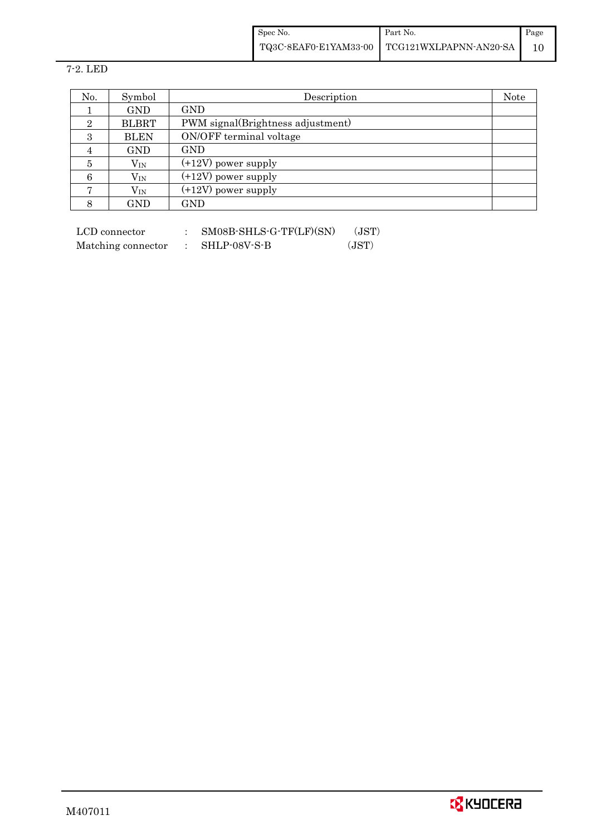Spec No. TQ3C-8EAF0-E1YAM33-00 Part No. TCG121WXLPAPNN-AN20-SA Page 10

7-2. LED

| No.            | Symbol       | Description                       | Note |
|----------------|--------------|-----------------------------------|------|
|                | <b>GND</b>   | <b>GND</b>                        |      |
| $\overline{2}$ | <b>BLBRT</b> | PWM signal(Brightness adjustment) |      |
| 3              | <b>BLEN</b>  | ON/OFF terminal voltage           |      |
| 4              | <b>GND</b>   | <b>GND</b>                        |      |
| 5              | $\rm V_{IN}$ | $(+12V)$ power supply             |      |
| 6              | $\rm V_{IN}$ | $(+12V)$ power supply             |      |
| $\overline{ }$ | $\rm V_{IN}$ | $(+12V)$ power supply             |      |
| 8              | GND          | $_{\rm GND}$                      |      |

 $\begin{tabular}{ll} LCD connector & : & SMO8B-SHLS-G-TF(LF)(SN) & (JST) \end{tabular}$ Matching connector : SHLP-08V-S-B (JST)

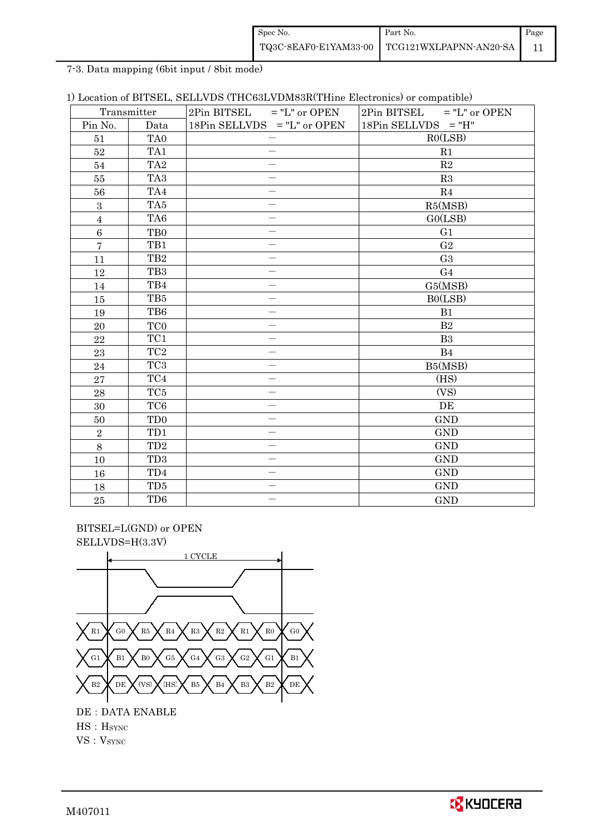| Spec No.              | Part No.               | Page |
|-----------------------|------------------------|------|
| TQ3C-8EAF0-E1YAM33-00 | TCG121WXLPAPNN-AN20-SA |      |

7-3. Data mapping (6bit input / 8bit mode)

|  |  |  |  | 1) Location of BITSEL, SELLVDS (THC63LVDM83R(THine Electronics) or compatible) |  |  |
|--|--|--|--|--------------------------------------------------------------------------------|--|--|
|--|--|--|--|--------------------------------------------------------------------------------|--|--|

| Transmitter    |                 | $2Pin$ BITSEL = "L" or OPEN   | $2Pin$ BITSEL = "L" or OPEN |
|----------------|-----------------|-------------------------------|-----------------------------|
| Pin No.        | Data            | 18Pin SELLVDS $=$ "L" or OPEN | $18Pin$ SELLVDS = "H"       |
| 51             | TA <sub>0</sub> |                               | RO(LSB)                     |
| $52\,$         | TA1             |                               | R1                          |
| 54             | TA <sub>2</sub> |                               | R2                          |
| 55             | TA <sub>3</sub> |                               | R3                          |
| 56             | TA4             |                               | R4                          |
| $\,3$          | TA5             |                               | R5(MSB)                     |
| $\overline{4}$ | TA <sub>6</sub> |                               | GO(LSB)                     |
| $\,6\,$        | T <sub>B0</sub> |                               | G1                          |
| $\overline{7}$ | TB1             | $\overline{\phantom{0}}$      | G <sub>2</sub>              |
| 11             | TB <sub>2</sub> |                               | G <sub>3</sub>              |
| 12             | TB <sub>3</sub> | $\overline{\phantom{a}}$      | G <sub>4</sub>              |
| 14             | TB4             |                               | G5(MSB)                     |
| 15             | TB5             | $\overline{\phantom{0}}$      | BO(LSB)                     |
| 19             | TB6             |                               | B1                          |
| $20\,$         | TC <sub>0</sub> |                               | B2                          |
| 22             | TC1             | $\sim$                        | B <sub>3</sub>              |
| 23             | $\rm TC2$       | $\overline{\phantom{0}}$      | B <sub>4</sub>              |
| 24             | TC <sub>3</sub> |                               | B5(MSB)                     |
| 27             | TC4             | -                             | (HS)                        |
| 28             | TC <sub>5</sub> |                               | (VS)                        |
| $30\,$         | TC <sub>6</sub> |                               | DE                          |
| 50             | TD <sub>0</sub> | $\overline{\phantom{0}}$      | <b>GND</b>                  |
| $\overline{2}$ | TD1             | -                             | <b>GND</b>                  |
| 8              | TD <sub>2</sub> | $\overline{\phantom{0}}$      | <b>GND</b>                  |
| 10             | TD <sub>3</sub> | $\overline{\phantom{0}}$      | <b>GND</b>                  |
| 16             | TD <sub>4</sub> |                               | <b>GND</b>                  |
| 18             | TD <sub>5</sub> |                               | <b>GND</b>                  |
| $\bf 25$       | TD <sub>6</sub> |                               | <b>GND</b>                  |

 BITSEL=L(GND) or OPEN SELLVDS=H(3.3V)



HS:HSYNC

 $\mathrm{VS}:\mathrm{V}_{\mathrm{SYNC}}$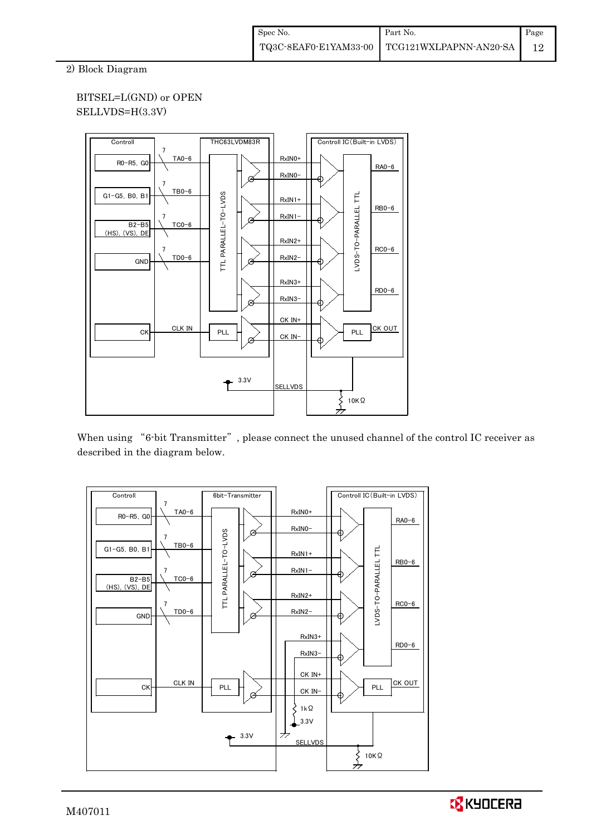2) Block Diagram

## BITSEL=L(GND) or OPEN SELLVDS=H(3.3V)



When using "6-bit Transmitter", please connect the unused channel of the control IC receiver as described in the diagram below.



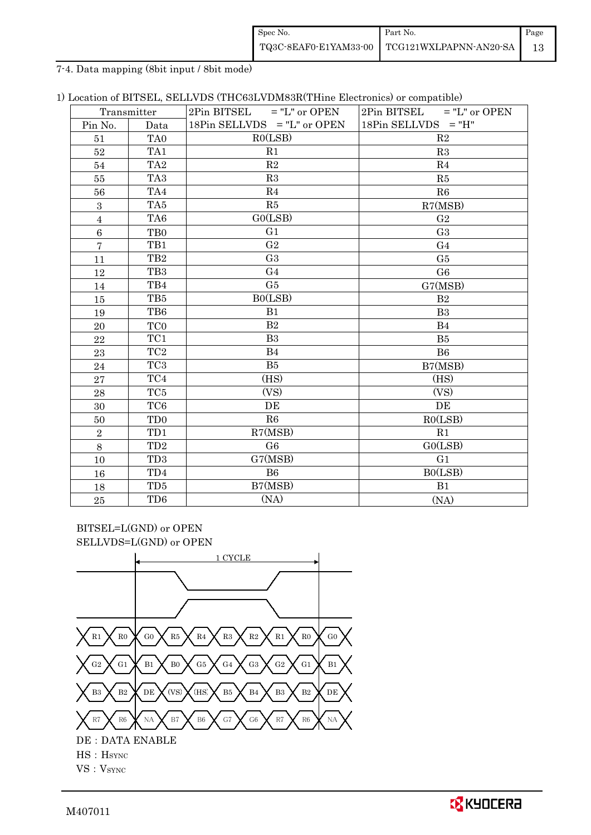| Spec No.              | Part No.                      | Page |
|-----------------------|-------------------------------|------|
| TQ3C-8EAF0-E1YAM33-00 | <b>TEG121WXLPAPNN-AN20-SA</b> |      |

7-4. Data mapping (8bit input / 8bit mode)

|  |  |  |  |  |  |  | 1) Location of BITSEL, SELLVDS (THC63LVDM83R(THine Electronics) or compatible) |
|--|--|--|--|--|--|--|--------------------------------------------------------------------------------|
|--|--|--|--|--|--|--|--------------------------------------------------------------------------------|

|                | Transmitter     | $2Pin$ BITSEL = "L" or OPEN   | $2Pin$ BITSEL = "L" or OPEN |
|----------------|-----------------|-------------------------------|-----------------------------|
| Pin No.        | Data            | 18Pin SELLVDS $=$ "L" or OPEN | $18Pin$ SELLVDS = "H"       |
| 51             | TA <sub>0</sub> | RO(LSB)                       | R <sub>2</sub>              |
| 52             | TA1             | R1                            | R3                          |
| 54             | TA <sub>2</sub> | R2                            | R <sub>4</sub>              |
| $55\,$         | TA <sub>3</sub> | R3                            | R5                          |
| 56             | TA4             | R4                            | R6                          |
| 3              | TA5             | R5                            | R7(MSB)                     |
| $\overline{4}$ | TA <sub>6</sub> | GO(LSB)                       | G <sub>2</sub>              |
| $\overline{6}$ | T <sub>B0</sub> | G1                            | G <sub>3</sub>              |
| $\overline{7}$ | TB1             | G <sub>2</sub>                | G <sub>4</sub>              |
| 11             | TB <sub>2</sub> | G <sub>3</sub>                | G5                          |
| 12             | TB <sub>3</sub> | G <sub>4</sub>                | G <sub>6</sub>              |
| 14             | TB4             | G5                            | G7(MSB)                     |
| 15             | TB5             | B0(LSB)                       | B <sub>2</sub>              |
| 19             | TB6             | B1                            | B <sub>3</sub>              |
| 20             | TC <sub>0</sub> | B <sub>2</sub>                | <b>B4</b>                   |
| 22             | TC1             | B <sub>3</sub>                | B <sub>5</sub>              |
| 23             | TC <sub>2</sub> | <b>B</b> 4                    | B <sub>6</sub>              |
| 24             | TC <sub>3</sub> | B5                            | B7(MSB)                     |
| 27             | TC4             | (HS)                          | (HS)                        |
| 28             | TC <sub>5</sub> | (VS)                          | (VS)                        |
| 30             | TC <sub>6</sub> | DE                            | DE                          |
| 50             | TD <sub>0</sub> | R6                            | RO(LSB)                     |
| $\sqrt{2}$     | TD1             | R7(MSB)                       | R <sub>1</sub>              |
| 8              | TD <sub>2</sub> | G <sub>6</sub>                | GO(LSB)                     |
| 10             | TD <sub>3</sub> | G7(MSB)                       | G <sub>1</sub>              |
| 16             | TD <sub>4</sub> | B6                            | BO(LSB)                     |
| 18             | TD <sub>5</sub> | B7(MSB)                       | B1                          |
| 25             | TD <sub>6</sub> | (NA)                          | (NA)                        |

BITSEL=L(GND) or OPEN SELLVDS=L(GND) or OPEN

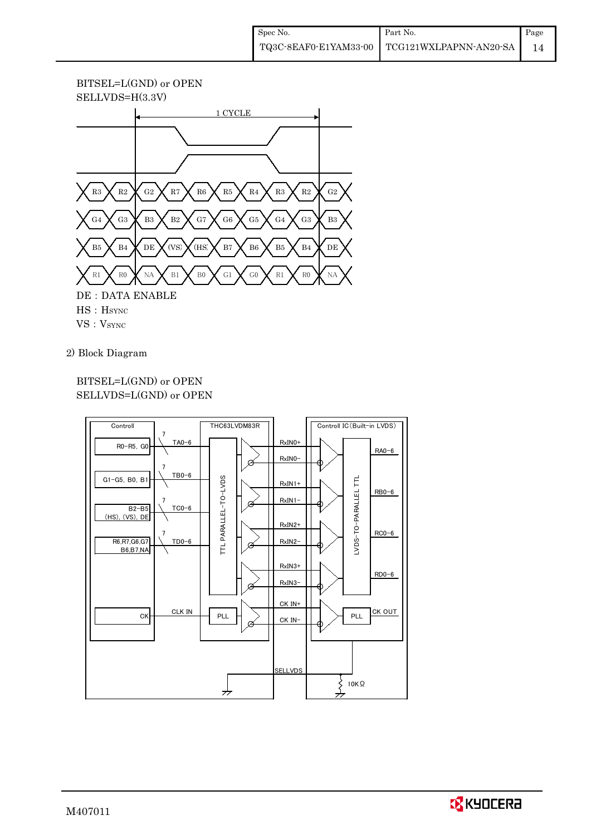



2) Block Diagram

## BITSEL=L(GND) or OPEN SELLVDS=L(GND) or OPEN



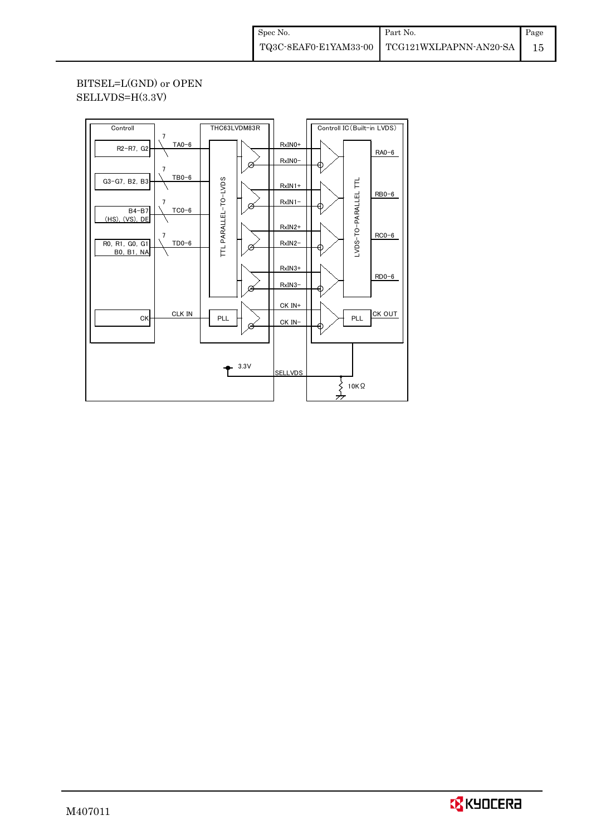BITSEL=L(GND) or OPEN SELLVDS=H(3.3V)

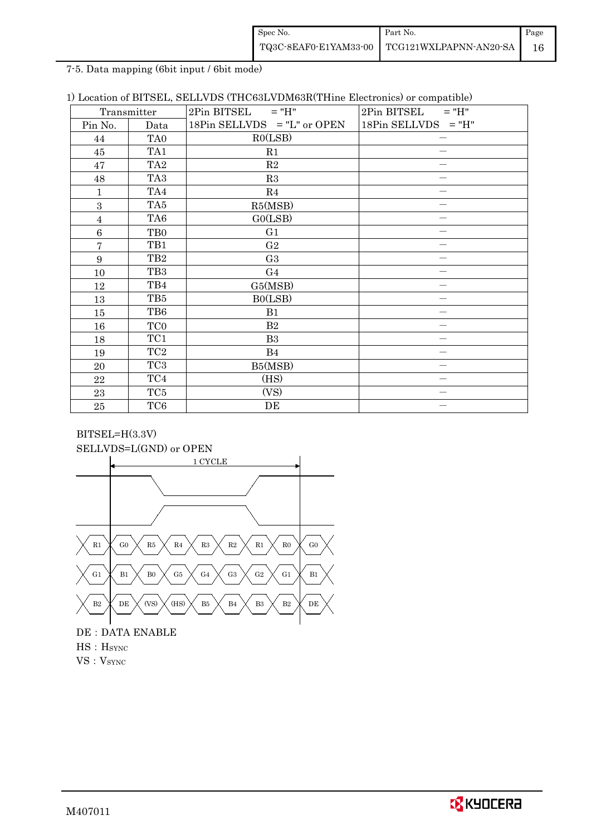| Spec No.              | Part No.               | Page |
|-----------------------|------------------------|------|
| TQ3C-8EAF0-E1YAM33-00 | TCG121WXLPAPNN-AN20-SA |      |

7-5. Data mapping (6bit input / 6bit mode)

|  |  |  |  |  |  |  | 1) Location of BITSEL, SELLVDS (THC63LVDM63R(THine Electronics) or compatible) |
|--|--|--|--|--|--|--|--------------------------------------------------------------------------------|
|--|--|--|--|--|--|--|--------------------------------------------------------------------------------|

|                  | Transmitter     | $2Pin$ BITSEL = "H"           | 2Pin BITSEL<br>$=$ "H" |
|------------------|-----------------|-------------------------------|------------------------|
| Pin No.          | Data            | 18Pin SELLVDS $=$ "L" or OPEN | $18Pin$ SELLVDS = "H"  |
| 44               | TA <sub>0</sub> | RO(LSB)                       |                        |
| 45               | TA1             | R1                            |                        |
| 47               | TA <sub>2</sub> | R2                            |                        |
| 48               | TA <sub>3</sub> | R3                            |                        |
| 1                | TA4             | R4                            |                        |
| 3                | TA5             | R5(MSB)                       |                        |
| $\overline{4}$   | TA <sub>6</sub> | GO(LSB)                       |                        |
| $\boldsymbol{6}$ | T <sub>B0</sub> | G1                            |                        |
| $\overline{7}$   | TB1             | G <sub>2</sub>                |                        |
| 9                | TB <sub>2</sub> | G <sub>3</sub>                |                        |
| 10               | TB <sub>3</sub> | G <sub>4</sub>                |                        |
| 12               | TB4             | G5(MSB)                       |                        |
| 13               | TB5             | BO(LSB)                       |                        |
| 15               | TB6             | B1                            |                        |
| 16               | TC <sub>0</sub> | B <sub>2</sub>                |                        |
| 18               | TC1             | B <sub>3</sub>                |                        |
| 19               | TC <sub>2</sub> | <b>B</b> 4                    |                        |
| 20               | TC <sub>3</sub> | B5(MSB)                       |                        |
| 22               | TC4             | (HS)                          |                        |
| 23               | TC5             | (VS)                          |                        |
| $\rm 25$         | TC <sub>6</sub> | DE                            |                        |

## BITSEL=H(3.3V) SELLVDS=L(GND) or OPEN



# DE : DATA ENABLE HS: H<sub>SYNC</sub> VS: V<sub>SYNC</sub>

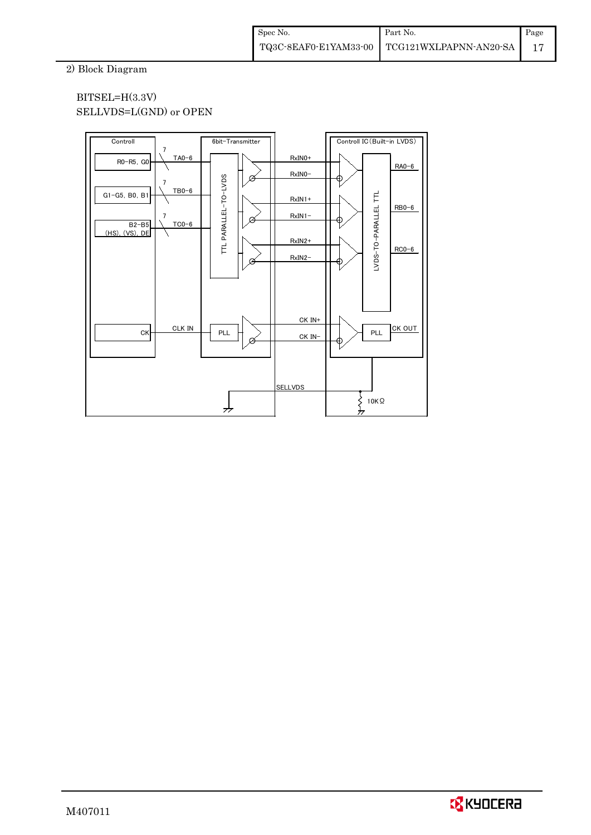2) Block Diagram

## BITSEL=H(3.3V) SELLVDS=L(GND) or OPEN



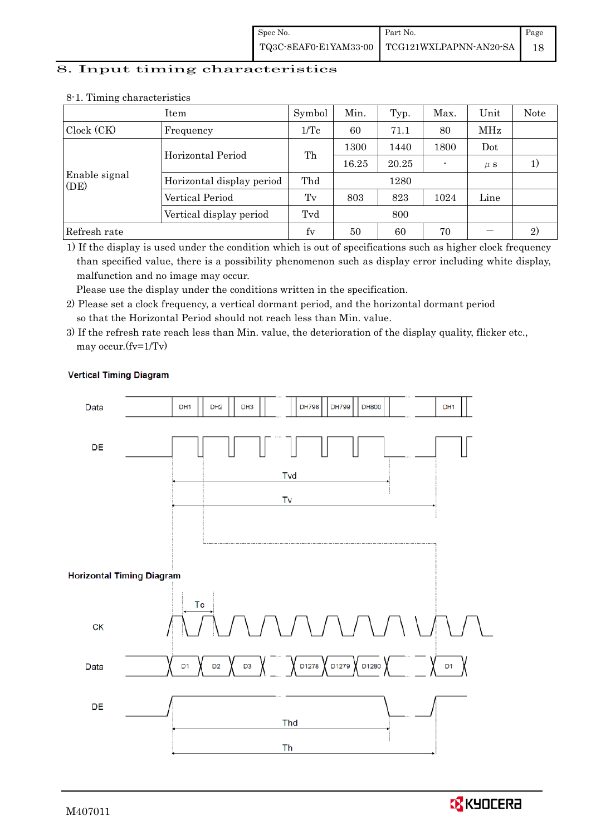| Spec No.              | Part No.               | Page |
|-----------------------|------------------------|------|
| TQ3C-8EAF0-E1YAM33-00 | TCG121WXLPAPNN-AN20-SA |      |

# 8. Input timing characteristics

|                       | Item                      | Symbol      | Min.  | Typ.  | Max. | Unit    | <b>Note</b>    |
|-----------------------|---------------------------|-------------|-------|-------|------|---------|----------------|
| Clock (CK)            | Frequency                 | 1/Tc        | 60    | 71.1  | 80   | MHz     |                |
|                       | Horizontal Period         |             | 1300  | 1440  | 1800 | Dot     |                |
|                       |                           | Th          | 16.25 | 20.25 |      | $\mu$ s |                |
| Enable signal<br>(DE) | Horizontal display period | Thd<br>1280 |       |       |      |         |                |
|                       | Vertical Period           | Tv          | 803   | 823   | 1024 | Line    |                |
|                       | Vertical display period   | Tvd         |       | 800   |      |         |                |
| Refresh rate          |                           | fy          | 50    | 60    | 70   |         | $\mathfrak{D}$ |

#### 8-1. Timing characteristics

1) If the display is used under the condition which is out of specifications such as higher clock frequency than specified value, there is a possibility phenomenon such as display error including white display, malfunction and no image may occur.

Please use the display under the conditions written in the specification.

- 2) Please set a clock frequency, a vertical dormant period, and the horizontal dormant period so that the Horizontal Period should not reach less than Min. value.
- 3) If the refresh rate reach less than Min. value, the deterioration of the display quality, flicker etc., may occur.(fv=1/Tv)



#### **Vertical Timing Diagram**

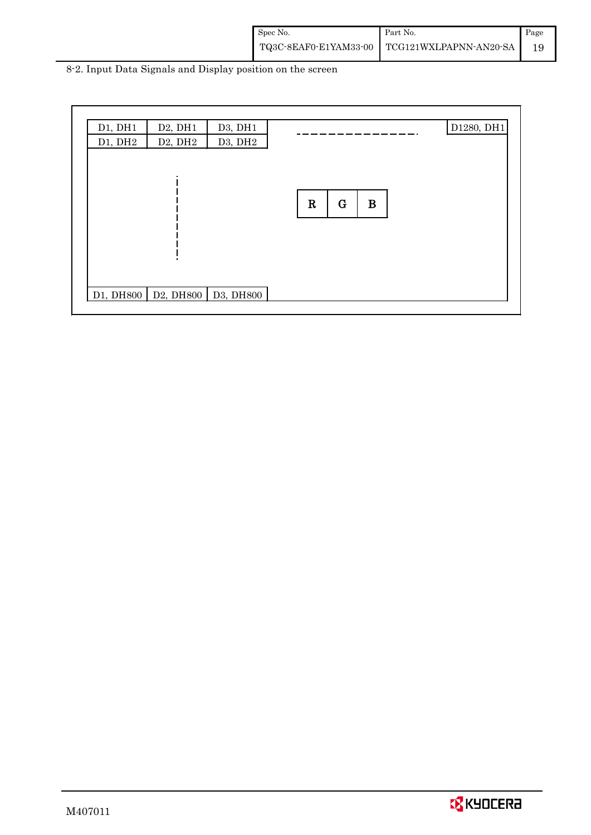| Spec No. | Part No.                                     | Page |
|----------|----------------------------------------------|------|
|          | TQ3C-8EAF0-E1YAM33-00 TCG121WXLPAPNN-AN20-SA |      |

8-2. Input Data Signals and Display position on the screen

| D1, DH1   | D2, DH1                                                               | D3, DH1 |             |             |          |  | D1280, DH1 |
|-----------|-----------------------------------------------------------------------|---------|-------------|-------------|----------|--|------------|
| D1, DH2   | D <sub>2</sub> , DH <sub>2</sub>                                      | D3, DH2 |             |             |          |  |            |
|           |                                                                       |         |             |             |          |  |            |
|           |                                                                       |         |             |             |          |  |            |
|           |                                                                       |         |             |             |          |  |            |
|           |                                                                       |         | $\mathbf R$ | $\mathbf G$ | $\bf{B}$ |  |            |
|           |                                                                       |         |             |             |          |  |            |
|           |                                                                       |         |             |             |          |  |            |
|           |                                                                       |         |             |             |          |  |            |
|           |                                                                       |         |             |             |          |  |            |
|           |                                                                       |         |             |             |          |  |            |
|           |                                                                       |         |             |             |          |  |            |
| D1, DH800 | D <sub>2</sub> , DH <sub>800</sub> D <sub>3</sub> , DH <sub>800</sub> |         |             |             |          |  |            |
|           |                                                                       |         |             |             |          |  |            |

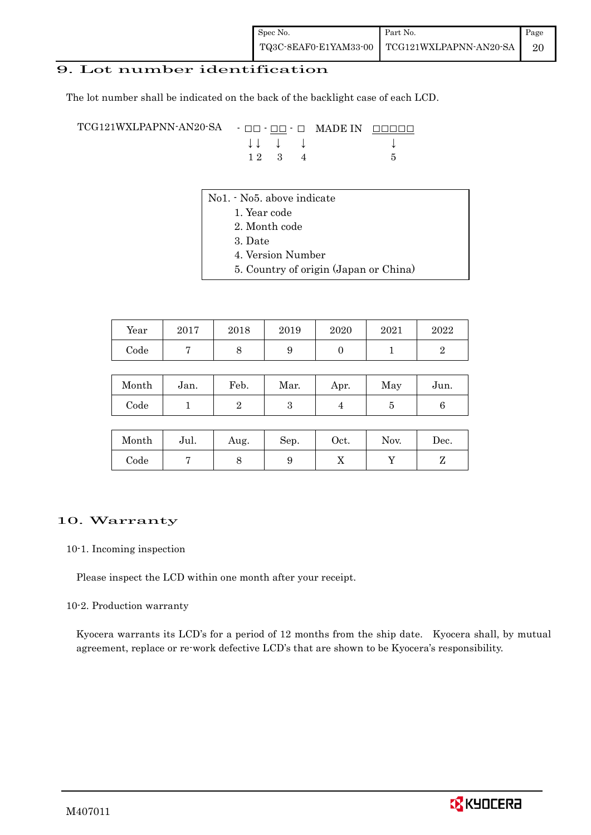## 9. Lot number identification

The lot number shall be indicated on the back of the backlight case of each LCD.

TCG121WXLPAPNN-AN20-SA - □□ - □□ - □ MADE IN □□□□□ ↓ ↓ ↓ ↓ ↓  $12 \quad 3 \quad 4$  5

- No1. No5. above indicate
	- 1. Year code
		- 2. Month code
		- 3. Date
		- 4. Version Number
		- 5. Country of origin (Japan or China)

| Year | 2017 | 2018 | 2019 | 2020 | 2021 | 2022 |
|------|------|------|------|------|------|------|
| Code |      |      |      |      |      |      |

| Month      | Jan. | Feb. | Mar. | Apr. | May | Jun. |
|------------|------|------|------|------|-----|------|
| $\rm Code$ |      |      |      |      |     |      |

| Month | Jul. | Aug. | Sep. | Oct. | Nov. | Dec. |
|-------|------|------|------|------|------|------|
| Code  |      | ◡    |      | 77   |      |      |

### 10. Warranty

10-1. Incoming inspection

Please inspect the LCD within one month after your receipt.

### 10-2. Production warranty

 Kyocera warrants its LCD's for a period of 12 months from the ship date. Kyocera shall, by mutual agreement, replace or re-work defective LCD's that are shown to be Kyocera's responsibility.

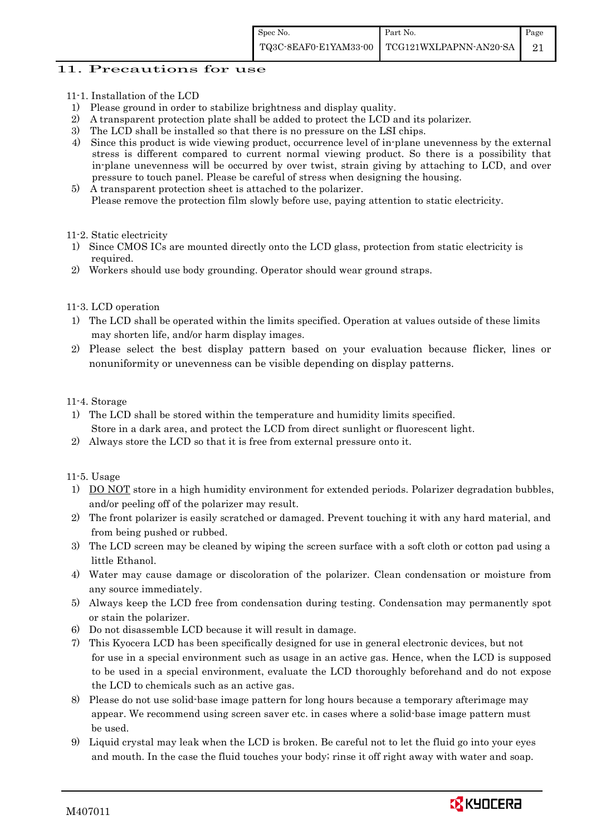## 11. Precautions for use

- 11-1. Installation of the LCD
- 1) Please ground in order to stabilize brightness and display quality.
- 2) A transparent protection plate shall be added to protect the LCD and its polarizer.
- 3) The LCD shall be installed so that there is no pressure on the LSI chips.
- 4) Since this product is wide viewing product, occurrence level of in-plane unevenness by the external stress is different compared to current normal viewing product. So there is a possibility that in-plane unevenness will be occurred by over twist, strain giving by attaching to LCD, and over pressure to touch panel. Please be careful of stress when designing the housing.
- 5) A transparent protection sheet is attached to the polarizer. Please remove the protection film slowly before use, paying attention to static electricity.

#### 11-2. Static electricity

- 1) Since CMOS ICs are mounted directly onto the LCD glass, protection from static electricity is required.
- 2) Workers should use body grounding. Operator should wear ground straps.

### 11-3. LCD operation

- 1) The LCD shall be operated within the limits specified. Operation at values outside of these limits may shorten life, and/or harm display images.
- 2) Please select the best display pattern based on your evaluation because flicker, lines or nonuniformity or unevenness can be visible depending on display patterns.

### 11-4. Storage

- 1) The LCD shall be stored within the temperature and humidity limits specified. Store in a dark area, and protect the LCD from direct sunlight or fluorescent light.
- 2) Always store the LCD so that it is free from external pressure onto it.

### 11-5. Usage

- 1) DO NOT store in a high humidity environment for extended periods. Polarizer degradation bubbles, and/or peeling off of the polarizer may result.
- 2) The front polarizer is easily scratched or damaged. Prevent touching it with any hard material, and from being pushed or rubbed.
- 3) The LCD screen may be cleaned by wiping the screen surface with a soft cloth or cotton pad using a little Ethanol.
- 4) Water may cause damage or discoloration of the polarizer. Clean condensation or moisture from any source immediately.
- 5) Always keep the LCD free from condensation during testing. Condensation may permanently spot or stain the polarizer.
- 6) Do not disassemble LCD because it will result in damage.
- 7) This Kyocera LCD has been specifically designed for use in general electronic devices, but not for use in a special environment such as usage in an active gas. Hence, when the LCD is supposed to be used in a special environment, evaluate the LCD thoroughly beforehand and do not expose the LCD to chemicals such as an active gas.
- 8) Please do not use solid-base image pattern for long hours because a temporary afterimage may appear. We recommend using screen saver etc. in cases where a solid-base image pattern must be used.
- 9) Liquid crystal may leak when the LCD is broken. Be careful not to let the fluid go into your eyes and mouth. In the case the fluid touches your body; rinse it off right away with water and soap.

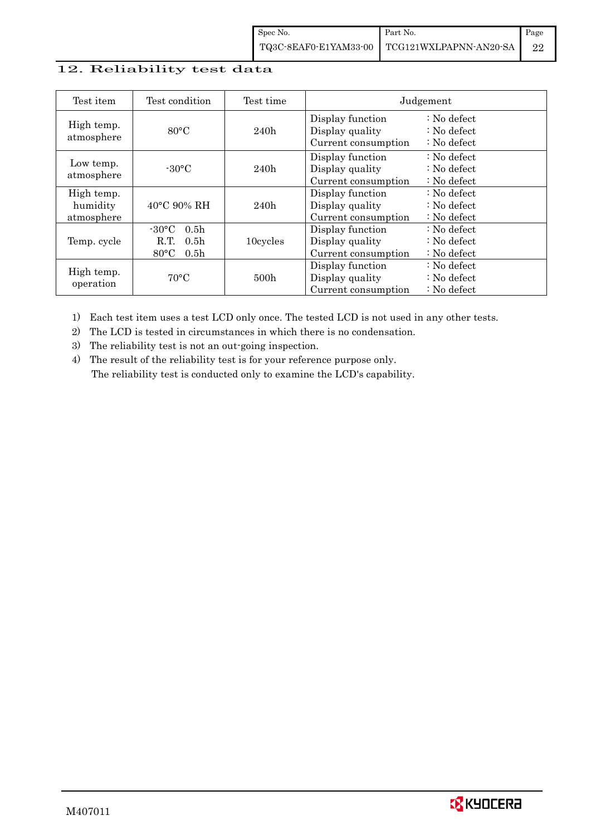## 12. Reliability test data

| Test item                                                     | Test condition                                                                                        | Test time        | Judgement                                                                                                                     |                                                                            |  |
|---------------------------------------------------------------|-------------------------------------------------------------------------------------------------------|------------------|-------------------------------------------------------------------------------------------------------------------------------|----------------------------------------------------------------------------|--|
| High temp.<br>atmosphere                                      | $80^{\circ}$ C                                                                                        |                  | Display function<br>Display quality<br>Current consumption                                                                    | $\therefore$ No defect<br>$\therefore$ No defect<br>$\therefore$ No defect |  |
| Low temp.<br>atmosphere                                       | $-30^{\circ}$ C                                                                                       | 240h             | Display function<br>Display quality<br>Current consumption                                                                    | $\therefore$ No defect<br>$\therefore$ No defect<br>$\therefore$ No defect |  |
| High temp.<br>humidity<br>$40^{\circ}$ C 90% RH<br>atmosphere |                                                                                                       | 240h             | Display function<br>: No defect<br>Display quality<br>$\therefore$ No defect<br>$\therefore$ No defect<br>Current consumption |                                                                            |  |
| Temp. cycle                                                   | $-30^{\circ}$ C<br>0.5 <sub>h</sub><br>R.T.<br>0.5 <sub>h</sub><br>$80^{\circ}$ C<br>0.5 <sub>h</sub> | 10cycles         | Display function<br>Display quality<br>Current consumption                                                                    | $\therefore$ No defect<br>$\therefore$ No defect<br>$\therefore$ No defect |  |
| High temp.<br>operation                                       | $70^{\circ}$ C                                                                                        | 500 <sub>h</sub> | Display function<br>Display quality<br>Current consumption                                                                    | $\therefore$ No defect<br>$\therefore$ No defect<br>$\therefore$ No defect |  |

1) Each test item uses a test LCD only once. The tested LCD is not used in any other tests.

2) The LCD is tested in circumstances in which there is no condensation.

3) The reliability test is not an out-going inspection.

4) The result of the reliability test is for your reference purpose only. The reliability test is conducted only to examine the LCD's capability.

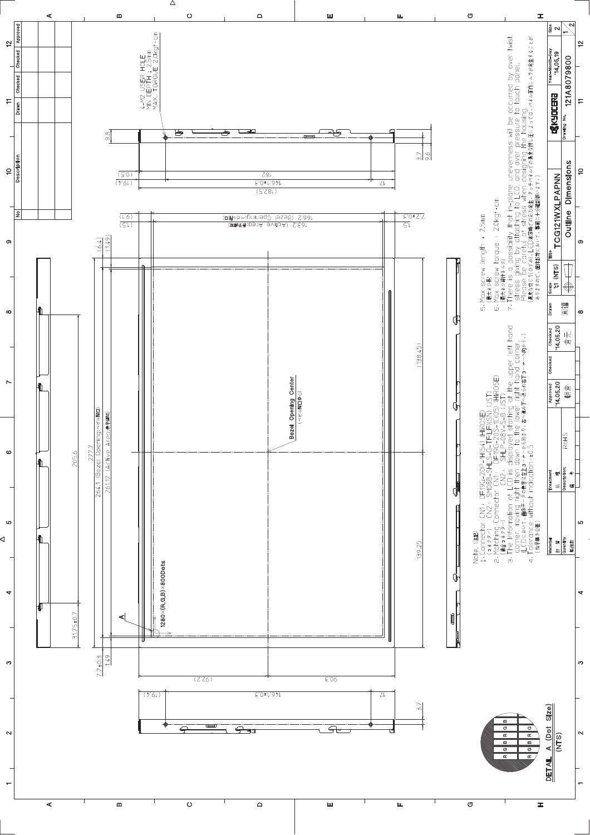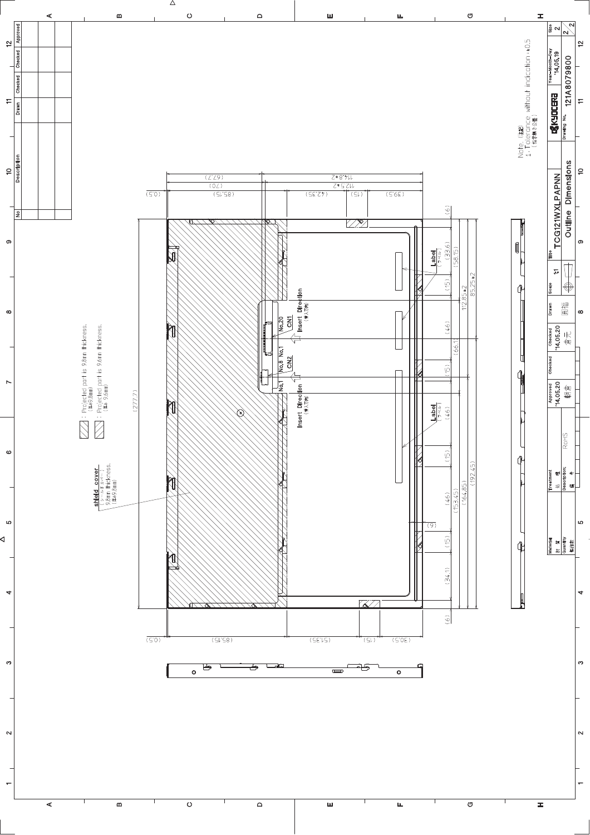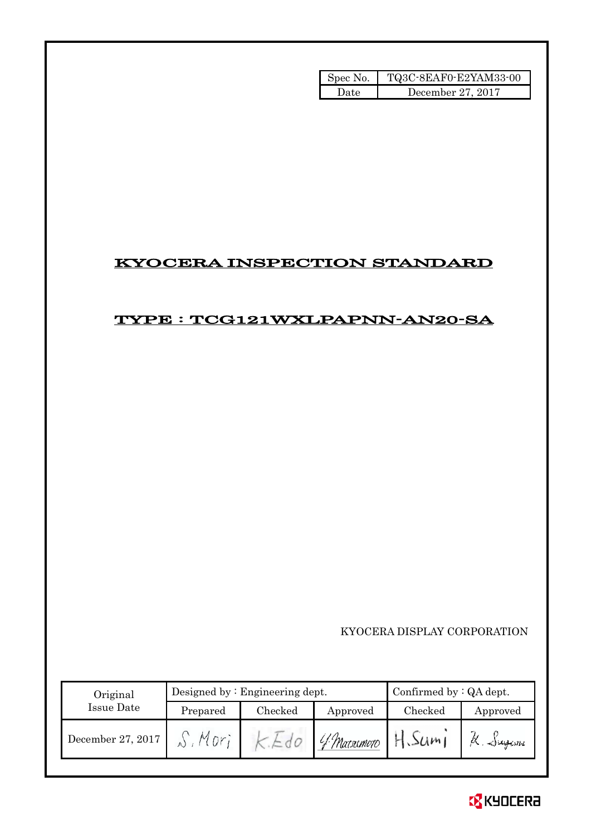| Spec No. | TQ3C-8EAF0-E2YAM33-00 |
|----------|-----------------------|
| ۱)ate    | December 27, 2017     |

# KYOCERA INSPECTION STANDARD

# TYPE : TCG121WXLPAPNN-AN20-SA

KYOCERA DISPLAY CORPORATION

| Original          |                 | Designed by $:$ Engineering dept. | Confirmed by $:QA$ dept. |         |           |
|-------------------|-----------------|-----------------------------------|--------------------------|---------|-----------|
| Issue Date        | Prepared        | Checked                           | Approved                 | Checked | Approved  |
| December 27, 2017 | $M_{\text{D}r}$ |                                   | - 0   4 Matsumoto   -    | H.Sum   | K. Jugani |

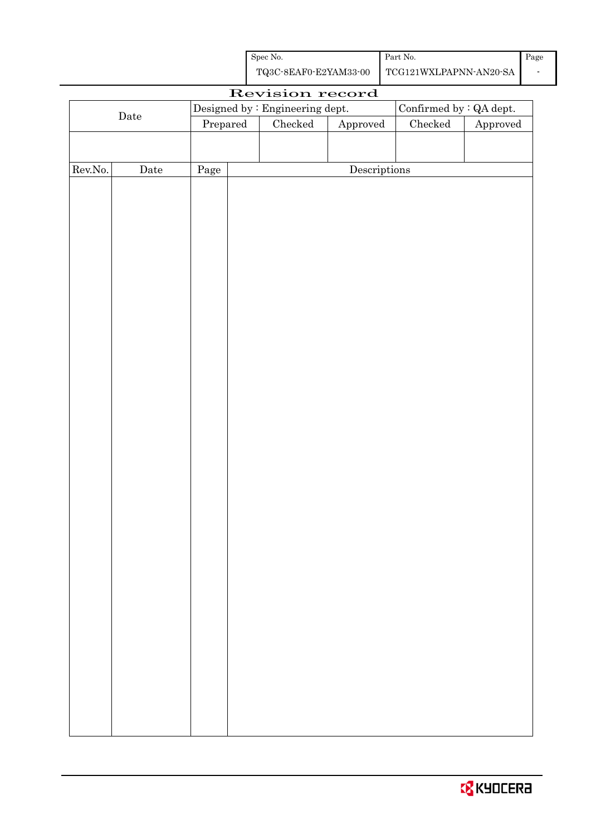| Spec No.              | Part No.               | Page |
|-----------------------|------------------------|------|
| TQ3C-8EAF0-E2YAM33-00 | TCG121WXLPAPNN-AN20-SA |      |

| Revision record  |             |                                  |  |                                 |                        |                                |          |
|------------------|-------------|----------------------------------|--|---------------------------------|------------------------|--------------------------------|----------|
|                  |             |                                  |  | Designed by : Engineering dept. |                        | Confirmed by $\colon$ QA dept. |          |
|                  | $\rm{Date}$ | $\ensuremath{\mathrm{Prepared}}$ |  | $\rm Checked$                   | ${\Large\bf Approved}$ | Checked                        | Approved |
|                  |             |                                  |  |                                 |                        |                                |          |
|                  |             |                                  |  |                                 |                        |                                |          |
| ${\rm Rev. No.}$ | Date        | Page                             |  |                                 | Descriptions           |                                |          |
|                  |             |                                  |  |                                 |                        |                                |          |
|                  |             |                                  |  |                                 |                        |                                |          |
|                  |             |                                  |  |                                 |                        |                                |          |
|                  |             |                                  |  |                                 |                        |                                |          |
|                  |             |                                  |  |                                 |                        |                                |          |
|                  |             |                                  |  |                                 |                        |                                |          |
|                  |             |                                  |  |                                 |                        |                                |          |
|                  |             |                                  |  |                                 |                        |                                |          |
|                  |             |                                  |  |                                 |                        |                                |          |
|                  |             |                                  |  |                                 |                        |                                |          |
|                  |             |                                  |  |                                 |                        |                                |          |
|                  |             |                                  |  |                                 |                        |                                |          |
|                  |             |                                  |  |                                 |                        |                                |          |
|                  |             |                                  |  |                                 |                        |                                |          |
|                  |             |                                  |  |                                 |                        |                                |          |
|                  |             |                                  |  |                                 |                        |                                |          |
|                  |             |                                  |  |                                 |                        |                                |          |
|                  |             |                                  |  |                                 |                        |                                |          |
|                  |             |                                  |  |                                 |                        |                                |          |
|                  |             |                                  |  |                                 |                        |                                |          |
|                  |             |                                  |  |                                 |                        |                                |          |
|                  |             |                                  |  |                                 |                        |                                |          |
|                  |             |                                  |  |                                 |                        |                                |          |
|                  |             |                                  |  |                                 |                        |                                |          |
|                  |             |                                  |  |                                 |                        |                                |          |
|                  |             |                                  |  |                                 |                        |                                |          |
|                  |             |                                  |  |                                 |                        |                                |          |
|                  |             |                                  |  |                                 |                        |                                |          |
|                  |             |                                  |  |                                 |                        |                                |          |
|                  |             |                                  |  |                                 |                        |                                |          |
|                  |             |                                  |  |                                 |                        |                                |          |
|                  |             |                                  |  |                                 |                        |                                |          |
|                  |             |                                  |  |                                 |                        |                                |          |
|                  |             |                                  |  |                                 |                        |                                |          |
|                  |             |                                  |  |                                 |                        |                                |          |
|                  |             |                                  |  |                                 |                        |                                |          |

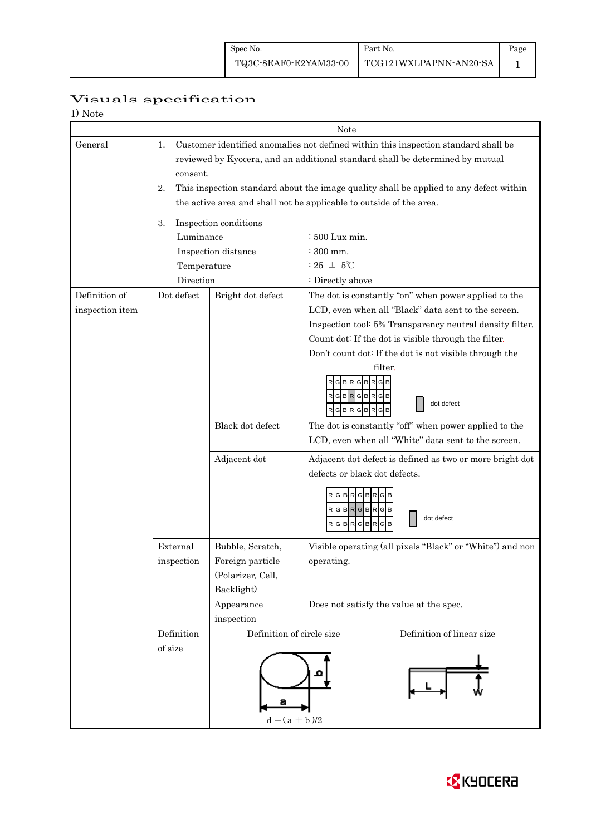# Visuals specification

| 1) Note         |                                                                                                                                                                                                                                                                                       |                                                                         |                                                                                                                   |  |  |  |  |
|-----------------|---------------------------------------------------------------------------------------------------------------------------------------------------------------------------------------------------------------------------------------------------------------------------------------|-------------------------------------------------------------------------|-------------------------------------------------------------------------------------------------------------------|--|--|--|--|
|                 |                                                                                                                                                                                                                                                                                       | Note                                                                    |                                                                                                                   |  |  |  |  |
| General         | Customer identified anomalies not defined within this inspection standard shall be<br>1.<br>reviewed by Kyocera, and an additional standard shall be determined by mutual<br>consent.<br>This inspection standard about the image quality shall be applied to any defect within<br>2. |                                                                         |                                                                                                                   |  |  |  |  |
|                 | the active area and shall not be applicable to outside of the area.                                                                                                                                                                                                                   |                                                                         |                                                                                                                   |  |  |  |  |
|                 | Inspection conditions<br>3.                                                                                                                                                                                                                                                           |                                                                         |                                                                                                                   |  |  |  |  |
|                 | Luminance                                                                                                                                                                                                                                                                             |                                                                         | : 500 Lux min.                                                                                                    |  |  |  |  |
|                 |                                                                                                                                                                                                                                                                                       | Inspection distance                                                     | : 300 mm.                                                                                                         |  |  |  |  |
|                 | Temperature                                                                                                                                                                                                                                                                           |                                                                         | $:25 \pm 5^{\circ}$ C                                                                                             |  |  |  |  |
|                 | Direction                                                                                                                                                                                                                                                                             |                                                                         | : Directly above                                                                                                  |  |  |  |  |
| Definition of   | Dot defect                                                                                                                                                                                                                                                                            | Bright dot defect                                                       | The dot is constantly "on" when power applied to the                                                              |  |  |  |  |
| inspection item |                                                                                                                                                                                                                                                                                       |                                                                         | LCD, even when all "Black" data sent to the screen.                                                               |  |  |  |  |
|                 |                                                                                                                                                                                                                                                                                       |                                                                         | Inspection tool: 5% Transparency neutral density filter.<br>Count dot: If the dot is visible through the filter.  |  |  |  |  |
|                 |                                                                                                                                                                                                                                                                                       |                                                                         | Don't count dot: If the dot is not visible through the                                                            |  |  |  |  |
|                 |                                                                                                                                                                                                                                                                                       |                                                                         | filter.<br><b>BRGB</b><br>G<br><b>BR</b><br>G<br>RGBRGBRGB<br>dot defect<br>$R$ G $B$ R $G$ B $R$<br>$G$ $B$      |  |  |  |  |
|                 |                                                                                                                                                                                                                                                                                       | Black dot defect                                                        | The dot is constantly "off" when power applied to the<br>LCD, even when all "White" data sent to the screen.      |  |  |  |  |
|                 |                                                                                                                                                                                                                                                                                       | Adjacent dot                                                            | Adjacent dot defect is defined as two or more bright dot<br>defects or black dot defects.<br>RGBRGBR<br>RGBRGBRGB |  |  |  |  |
|                 |                                                                                                                                                                                                                                                                                       |                                                                         | dot defect<br>$\mathsf{R}$<br>$\mathsf{R}$<br><b>GIB</b><br>G B<br>R<br>GIB                                       |  |  |  |  |
|                 | External<br>inspection                                                                                                                                                                                                                                                                | Bubble, Scratch,<br>Foreign particle<br>(Polarizer, Cell,<br>Backlight) | Visible operating (all pixels "Black" or "White") and non<br>operating.                                           |  |  |  |  |
|                 |                                                                                                                                                                                                                                                                                       | Appearance<br>inspection                                                | Does not satisfy the value at the spec.                                                                           |  |  |  |  |
|                 | Definition<br>of size                                                                                                                                                                                                                                                                 | Definition of linear size<br>Definition of circle size                  |                                                                                                                   |  |  |  |  |
|                 |                                                                                                                                                                                                                                                                                       | $d = (a + b)/2$                                                         |                                                                                                                   |  |  |  |  |